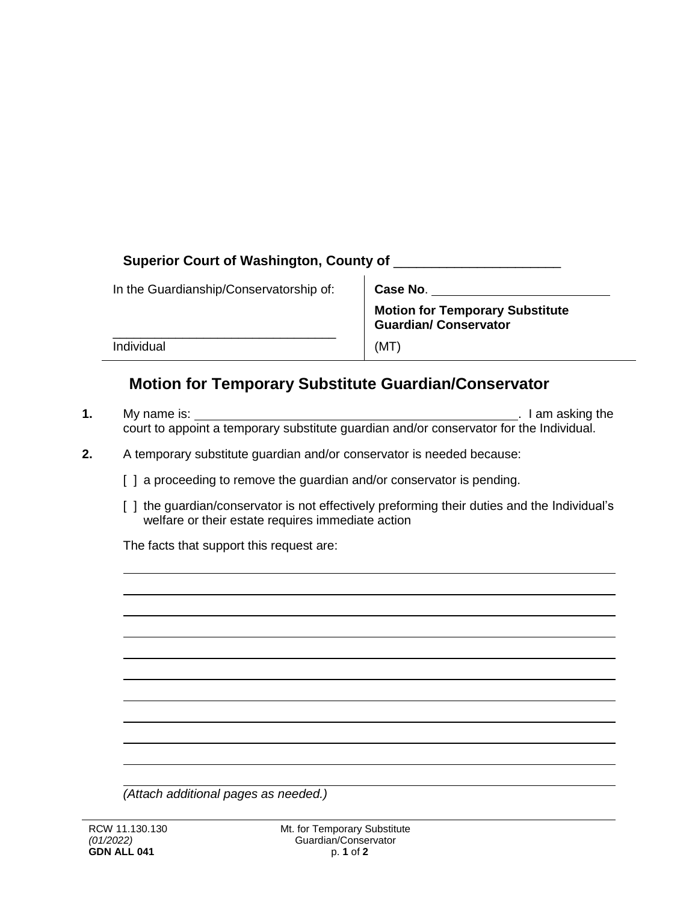| Superior Court of Washington, County of |                                                                        |
|-----------------------------------------|------------------------------------------------------------------------|
| In the Guardianship/Conservatorship of: | Case No.                                                               |
|                                         | <b>Motion for Temporary Substitute</b><br><b>Guardian/ Conservator</b> |
| Individual                              | (MT                                                                    |

## **Motion for Temporary Substitute Guardian/Conservator**

- **1.** My name is: . I am asking the court to appoint a temporary substitute guardian and/or conservator for the Individual.
- **2.** A temporary substitute guardian and/or conservator is needed because:
	- [ ] a proceeding to remove the guardian and/or conservator is pending.
	- [ ] the guardian/conservator is not effectively preforming their duties and the Individual's welfare or their estate requires immediate action

The facts that support this request are:

*(Attach additional pages as needed.)*